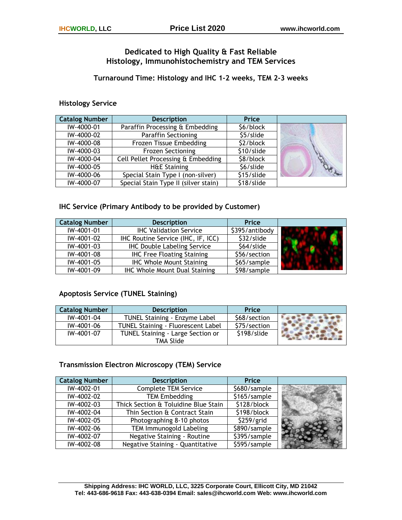# **Dedicated to High Quality & Fast Reliable Histology, Immunohistochemistry and TEM Services**

**Turnaround Time: Histology and IHC 1-2 weeks, TEM 2-3 weeks** 

### **Histology Service**

| <b>Catalog Number</b> | <b>Description</b>                   | Price      |  |
|-----------------------|--------------------------------------|------------|--|
| IW-4000-01            | Paraffin Processing & Embedding      | \$6/block  |  |
| IW-4000-02            | Paraffin Sectioning                  | \$5/slide  |  |
| IW-4000-08            | Frozen Tissue Embedding              | \$2/block  |  |
| IW-4000-03            | <b>Frozen Sectioning</b>             | \$10/slide |  |
| IW-4000-04            | Cell Pellet Processing & Embedding   | \$8/block  |  |
| IW-4000-05            | <b>H&amp;E Staining</b>              | \$6/slide  |  |
| IW-4000-06            | Special Stain Type I (non-silver)    | \$15/slide |  |
| IW-4000-07            | Special Stain Type II (silver stain) | \$18/slide |  |

### **IHC Service (Primary Antibody to be provided by Customer)**

| <b>Catalog Number</b> | <b>Description</b>                   | Price          |  |
|-----------------------|--------------------------------------|----------------|--|
| IW-4001-01            | <b>IHC Validation Service</b>        | \$395/antibody |  |
| IW-4001-02            | IHC Routine Service (IHC, IF, ICC)   | \$32/slide     |  |
| IW-4001-03            | <b>IHC Double Labeling Service</b>   | \$64/slide     |  |
| IW-4001-08            | <b>IHC Free Floating Staining</b>    | \$56/section   |  |
| IW-4001-05            | <b>IHC Whole Mount Staining</b>      | \$65/sample    |  |
| IW-4001-09            | <b>IHC Whole Mount Dual Staining</b> | \$98/sample    |  |

## **Apoptosis Service (TUNEL Staining)**

| <b>Catalog Number</b> | <b>Description</b>                 | <b>Price</b> |  |
|-----------------------|------------------------------------|--------------|--|
| IW-4001-04            | TUNEL Staining - Enzyme Label      | \$68/section |  |
| IW-4001-06            | TUNEL Staining - Fluorescent Label | \$75/section |  |
| IW-4001-07            | TUNEL Staining - Large Section or  | \$198/slide  |  |
|                       | <b>TMA Slide</b>                   |              |  |

## **Transmission Electron Microscopy (TEM) Service**

| <b>Catalog Number</b> | <b>Description</b>                   | Price        |  |
|-----------------------|--------------------------------------|--------------|--|
| IW-4002-01            | <b>Complete TEM Service</b>          | \$680/sample |  |
| IW-4002-02            | <b>TEM Embedding</b>                 | \$165/sample |  |
| IW-4002-03            | Thick Section & Toluidine Blue Stain | \$128/block  |  |
| IW-4002-04            | Thin Section & Contract Stain        | \$198/block  |  |
| IW-4002-05            | Photographing 8-10 photos            | \$259/grid   |  |
| IW-4002-06            | TEM Immunogold Labeling              | \$890/sample |  |
| IW-4002-07            | Negative Staining - Routine          | \$395/sample |  |
| IW-4002-08            | Negative Staining - Quantitative     | \$595/sample |  |